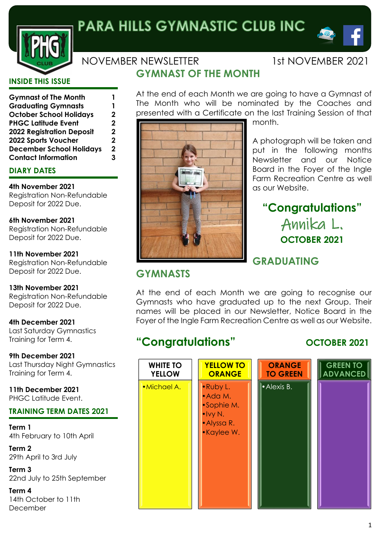

# PARA HILLS GYMNASTIC CLUB INC

**GYMNAST OF THE MONTH**

## NOVEMBER NEWSLETTER 1st NOVEMBER 2021

 $\bullet$ 

#### **INSIDE THIS ISSUE**

| <b>Gymnast of The Month</b>      | 1 |
|----------------------------------|---|
| <b>Graduating Gymnasts</b>       | 1 |
| <b>October School Holidays</b>   | 2 |
| <b>PHGC Latitude Event</b>       | 2 |
| <b>2022 Registration Deposit</b> | 2 |
| 2022 Sports Voucher              | 2 |
| <b>December School Holidays</b>  | 2 |
| <b>Contact Information</b>       | 3 |

#### **DIARY DATES**

**4th November 2021** Registration Non-Refundable Deposit for 2022 Due.

**6th November 2021** Registration Non-Refundable Deposit for 2022 Due.

**11th November 2021** Registration Non-Refundable Deposit for 2022 Due.

**13th November 2021** Registration Non-Refundable Deposit for 2022 Due.

**4th December 2021** Last Saturday Gymnastics Training for Term 4.

**9th December 2021** Last Thursday Night Gymnastics Training for Term 4.

**11th December 2021** PHGC Latitude Event.

#### **TRAINING TERM DATES 2021**

**Term 1** 4th February to 10th April

**Term 2** 29th April to 3rd July

**Term 3** 22nd July to 25th September

**Term 4** 14th October to 11th December

At the end of each Month we are going to have a Gymnast of The Month who will be nominated by the Coaches and presented with a Certificate on the last Training Session of that



month.

A photograph will be taken and put in the following months Newsletter and our Notice Board in the Foyer of the Ingle Farm Recreation Centre as well as our Website.

## **"Congratulations"** Annika L. **OCTOBER 2021**

## **GRADUATING**

## **GYMNASTS**

At the end of each Month we are going to recognise our Gymnasts who have graduated up to the next Group. Their names will be placed in our Newsletter, Notice Board in the Foyer of the Ingle Farm Recreation Centre as well as our Website.

## **"Congratulations" OCTOBER 2021**

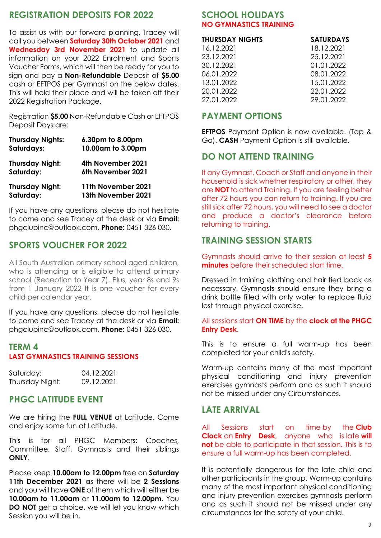#### **REGISTRATION DEPOSITS FOR 2022**

To assist us with our forward planning, Tracey will call you between **Saturday 30th October 2021** and **Wednesday 3rd November 2021** to update all information on your 2022 Enrolment and Sports Voucher Forms, which will then be ready for you to sign and pay a **Non-Refundable** Deposit of **\$5.00** cash or EFTPOS per Gymnast on the below dates. This will hold their place and will be taken off their 2022 Registration Package.

Registration **\$5.00** Non-Refundable Cash or EFTPOS Deposit Days are:

| <b>Thursday Nights:</b> | 6.30pm to 8.00pm   |
|-------------------------|--------------------|
| Saturdays:              | 10.00am to 3.00pm  |
| <b>Thursday Night:</b>  | 4th November 2021  |
| Saturday:               | 6th November 2021  |
| <b>Thursday Night:</b>  | 11th November 2021 |
| Saturday:               | 13th November 2021 |

If you have any questions, please do not hesitate to come and see Tracey at the desk or via **Email:** phgclubinc@outlook.com, **Phone:** 0451 326 030.

#### **SPORTS VOUCHER FOR 2022**

All South Australian primary school aged children, who is attending or is eligible to attend primary school (Reception to Year 7). Plus, year 8s and 9s from 1 January 2022 It is one voucher for every child per calendar year.

If you have any questions, please do not hesitate to come and see Tracey at the desk or via **Email:** phgclubinc@outlook.com, **Phone:** 0451 326 030.

#### **TERM 4 LAST GYMNASTICS TRAINING SESSIONS**

| Saturday:       | 04.12.2021 |
|-----------------|------------|
| Thursday Night: | 09.12.2021 |

#### **PHGC LATITUDE EVENT**

We are hiring the **FULL VENUE** at Latitude. Come and enjoy some fun at Latitude.

This is for all PHGC Members: Coaches, Committee, Staff, Gymnasts and their siblings **ONLY**.

Please keep **10.00am to 12.00pm** free on **Saturday 11th December 2021** as there will be **2 Sessions** and you will have **ONE** of them which will either be **10.00am to 11.00am** or **11.00am to 12.00pm**. You **DO NOT** get a choice, we will let you know which Session you will be in.

#### **SCHOOL HOLIDAYS NO GYMNASTICS TRAINING**

| <b>THURSDAY NIGHTS</b> | <b>SATURDAYS</b> |  |
|------------------------|------------------|--|
| 16.12.2021             | 18.12.2021       |  |
| 23.12.2021             | 25.12.2021       |  |
| 30.12.2021             | 01.01.2022       |  |

06.01.2022 08.01.2022 13.01.2022 15.01.2022 20.01.2022 22.01.2022 27.01.2022 29.01.2022

#### **PAYMENT OPTIONS**

**EFTPOS** Payment Option is now available. (Tap & Go). **CASH** Payment Option is still available.

#### **DO NOT ATTEND TRAINING**

If any Gymnast, Coach or Staff and anyone in their household is sick whether respiratory or other, they are **NOT** to attend Training. If you are feeling better after 72 hours you can return to training. If you are still sick after 72 hours, you will need to see a doctor and produce a doctor's clearance before returning to training.

#### **TRAINING SESSION STARTS**

Gymnasts should arrive to their session at least **5 minutes** before their scheduled start time.

Dressed in training clothing and hair tied back as necessary. Gymnasts should ensure they bring a drink bottle filled with only water to replace fluid lost through physical exercise.

#### All sessions start **ON TIME** by the **clock at the PHGC Entry Desk**.

This is to ensure a full warm-up has been completed for your child's safety.

Warm-up contains many of the most important physical conditioning and injury prevention exercises gymnasts perform and as such it should not be missed under any Circumstances.

#### **LATE ARRIVAL**

All Sessions start on time by the **Club Clock** on **Entry Desk**, anyone who is late **will not** be able to participate in that session. This is to ensure a full warm-up has been completed.

It is potentially dangerous for the late child and other participants in the group. Warm-up contains many of the most important physical conditioning and injury prevention exercises gymnasts perform and as such it should not be missed under any circumstances for the safety of your child.